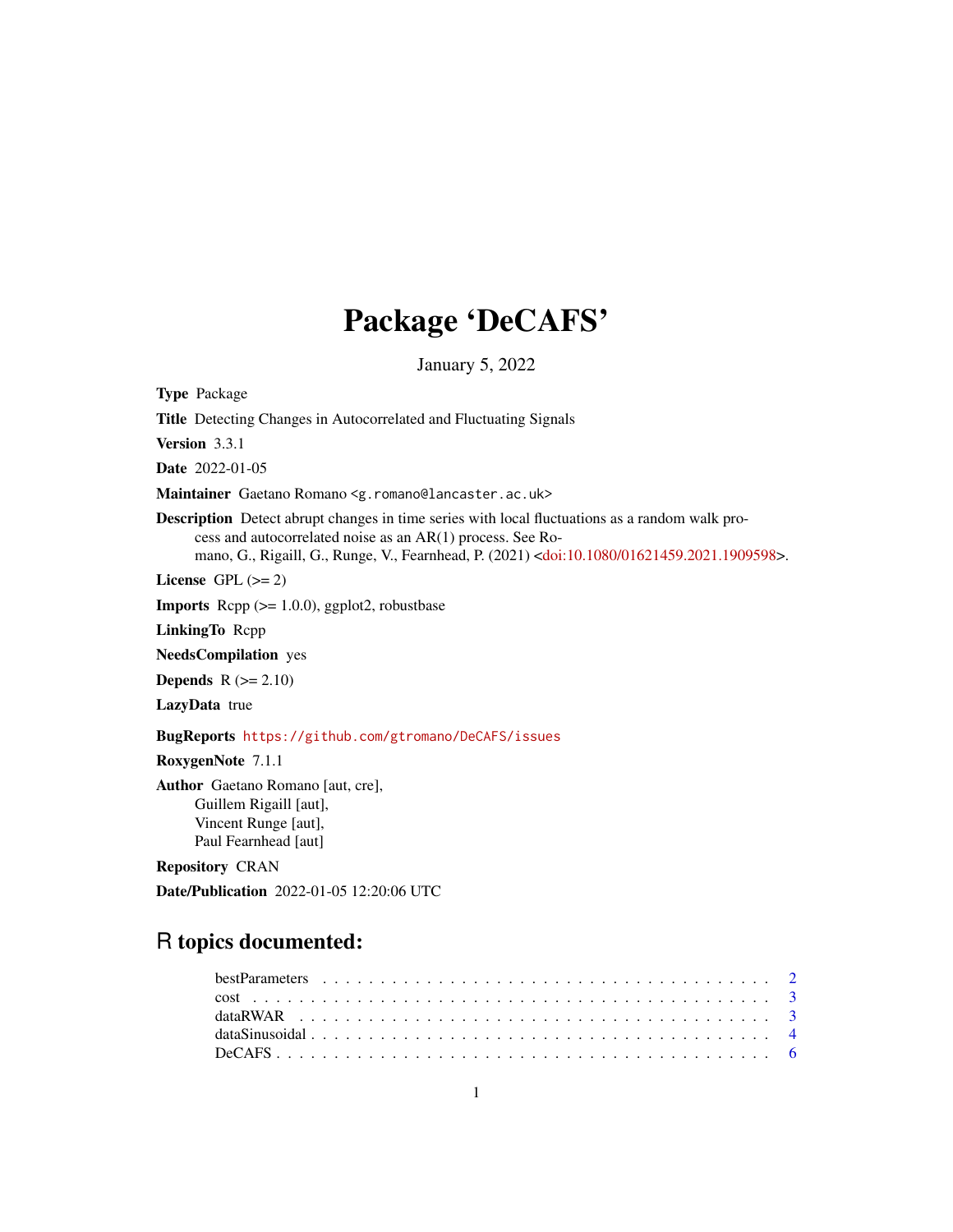## Package 'DeCAFS'

January 5, 2022

Type Package

Title Detecting Changes in Autocorrelated and Fluctuating Signals

Version 3.3.1

Date 2022-01-05

Maintainer Gaetano Romano <g.romano@lancaster.ac.uk>

Description Detect abrupt changes in time series with local fluctuations as a random walk process and autocorrelated noise as an AR(1) process. See Romano, G., Rigaill, G., Runge, V., Fearnhead, P. (2021) [<doi:10.1080/01621459.2021.1909598>](https://doi.org/10.1080/01621459.2021.1909598).

License GPL  $(>= 2)$ 

**Imports** Rcpp  $(>= 1.0.0)$ , ggplot2, robustbase

LinkingTo Rcpp

NeedsCompilation yes

**Depends**  $R$  ( $>= 2.10$ )

LazyData true

BugReports <https://github.com/gtromano/DeCAFS/issues>

RoxygenNote 7.1.1

Author Gaetano Romano [aut, cre], Guillem Rigaill [aut], Vincent Runge [aut], Paul Fearnhead [aut]

Repository CRAN

Date/Publication 2022-01-05 12:20:06 UTC

## R topics documented: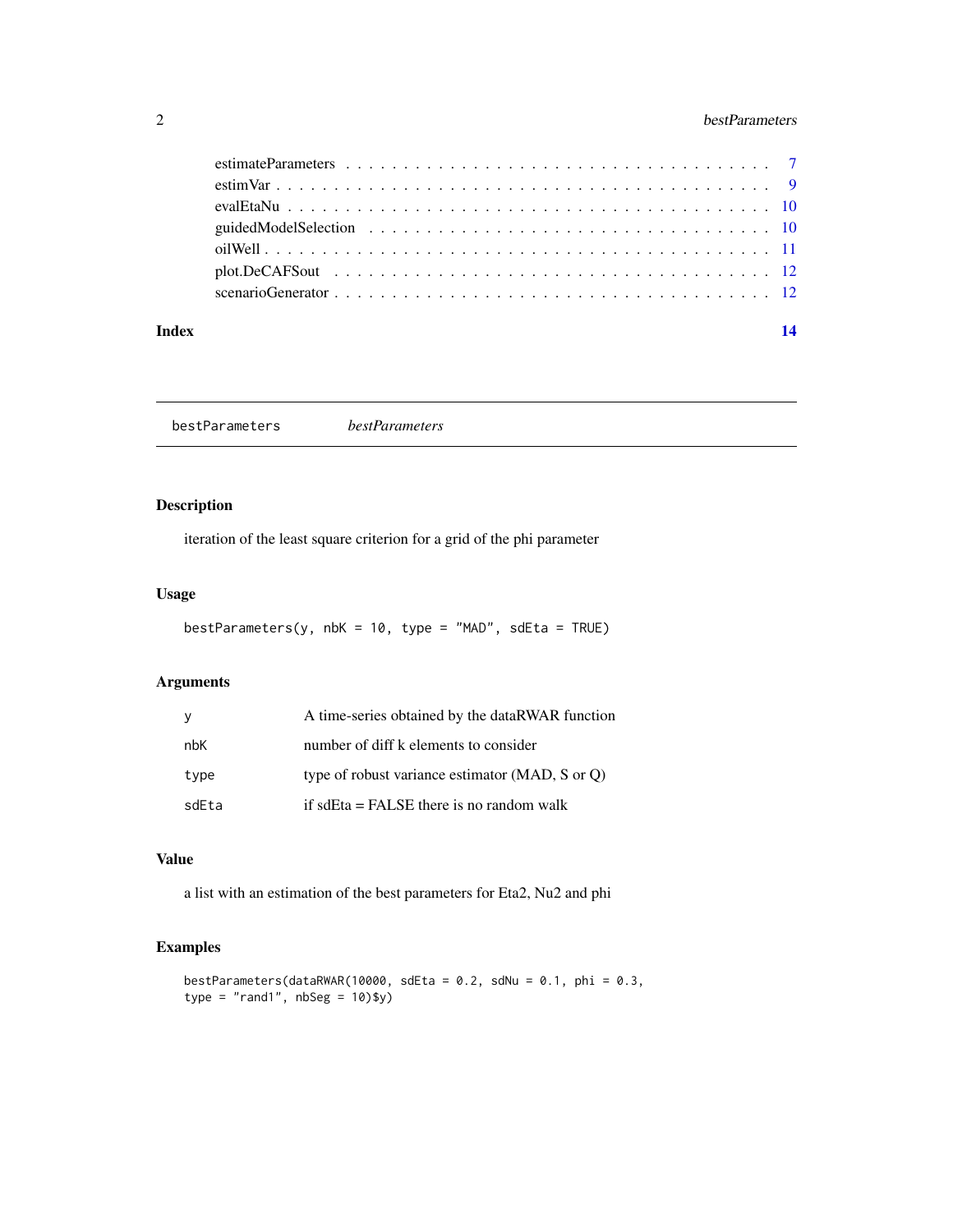## <span id="page-1-0"></span>2 bestParameters

#### **Index** 2008 **[14](#page-13-0)**

bestParameters *bestParameters*

## Description

iteration of the least square criterion for a grid of the phi parameter

#### Usage

```
bestParameters(y, nbK = 10, type = "MAD", sdEta = TRUE)
```
## Arguments

| <sub>V</sub> | A time-series obtained by the dataRWAR function |
|--------------|-------------------------------------------------|
| nbK          | number of diff k elements to consider           |
| type         | type of robust variance estimator (MAD, S or O) |
| sdEta        | if sdEta $=$ FALSE there is no random walk      |

## Value

a list with an estimation of the best parameters for Eta2, Nu2 and phi

## Examples

```
bestParameters(dataRWAR(10000, sdEta = 0.2, sdNu = 0.1, phi = 0.3,
type = "rand1", nbseg = 10)$y)
```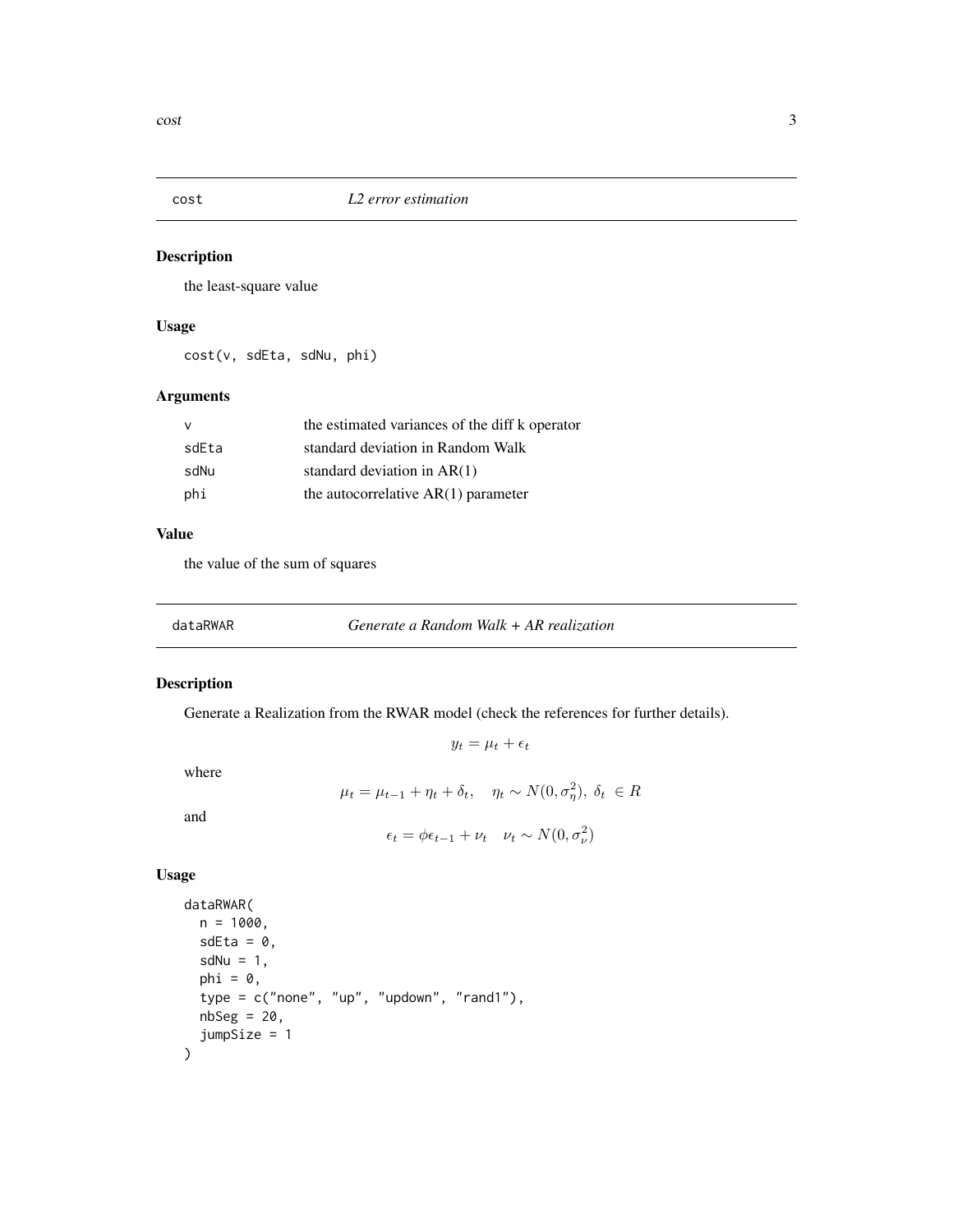<span id="page-2-0"></span>

the least-square value

## Usage

cost(v, sdEta, sdNu, phi)

## Arguments

| v     | the estimated variances of the diff k operator |
|-------|------------------------------------------------|
| sdEta | standard deviation in Random Walk              |
| sdNu  | standard deviation in $AR(1)$                  |
| phi   | the autocorrelative $AR(1)$ parameter          |

## Value

the value of the sum of squares

## Description

Generate a Realization from the RWAR model (check the references for further details).

 $y_t = \mu_t + \epsilon_t$ 

where

$$
\mu_t = \mu_{t-1} + \eta_t + \delta_t, \quad \eta_t \sim N(0, \sigma_\eta^2), \ \delta_t \ \in R
$$

and

```
\epsilon_t = \phi \epsilon_{t-1} + \nu_t \quad \nu_t \sim N(0, \sigma_\nu^2)
```
## Usage

```
dataRWAR(
  n = 1000,sdEta = 0,
  sdNu = 1,
  phi = 0,
  type = c("none", "up", "updown", "rand1"),
  nbseg = 20,
  jumpSize = 1
\mathcal{L}
```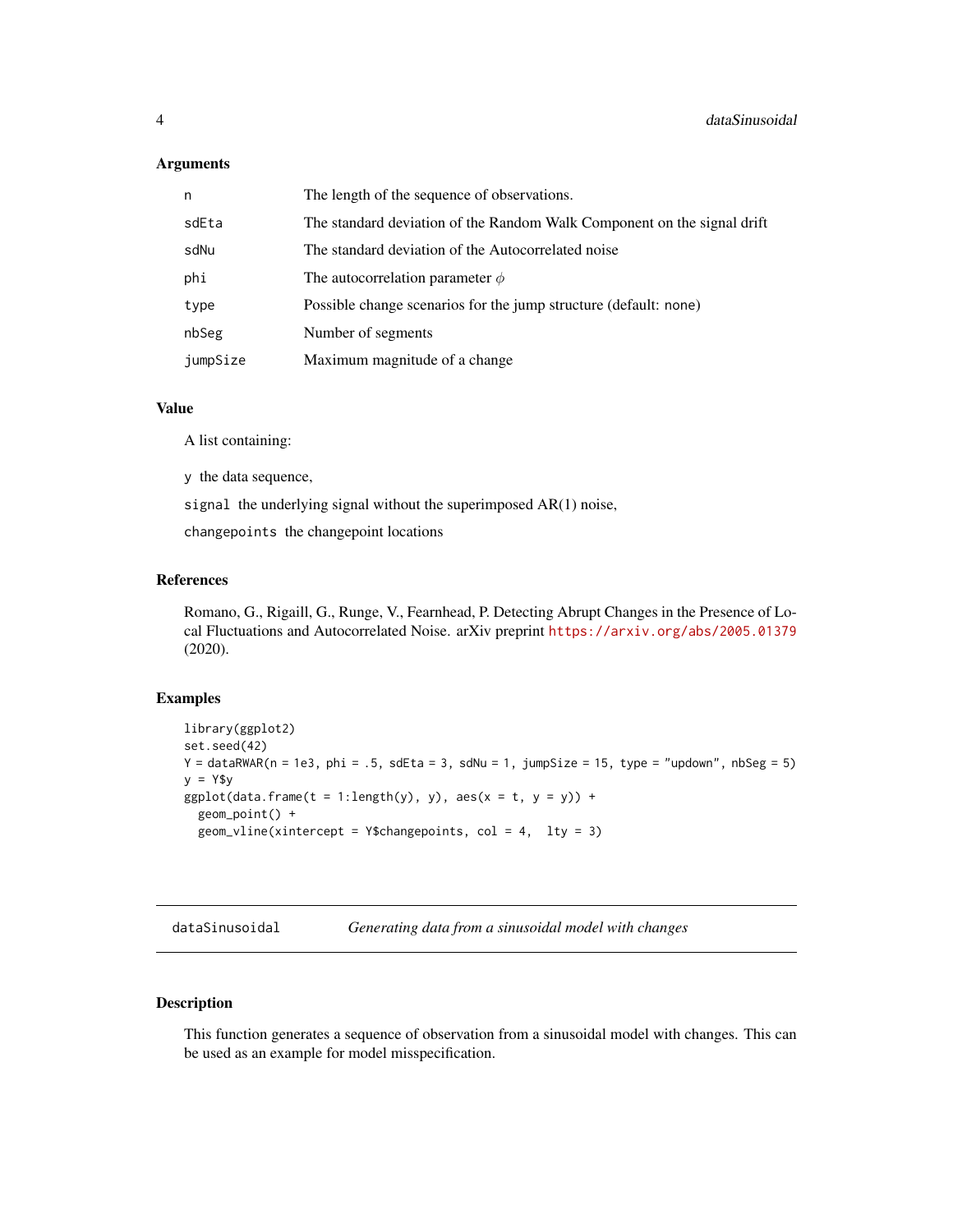#### <span id="page-3-0"></span>**Arguments**

| n        | The length of the sequence of observations.                             |
|----------|-------------------------------------------------------------------------|
| sdEta    | The standard deviation of the Random Walk Component on the signal drift |
| sdNu     | The standard deviation of the Autocorrelated noise                      |
| phi      | The autocorrelation parameter $\phi$                                    |
| type     | Possible change scenarios for the jump structure (default: none)        |
| nbSeg    | Number of segments                                                      |
| jumpSize | Maximum magnitude of a change                                           |

## Value

A list containing:

y the data sequence,

signal the underlying signal without the superimposed AR(1) noise,

changepoints the changepoint locations

## References

Romano, G., Rigaill, G., Runge, V., Fearnhead, P. Detecting Abrupt Changes in the Presence of Local Fluctuations and Autocorrelated Noise. arXiv preprint <https://arxiv.org/abs/2005.01379> (2020).

#### Examples

```
library(ggplot2)
set.seed(42)
Y = \text{dataRWAR}(n = 1e3, \text{phi} = .5, \text{sdEt} = 3, \text{sdNu} = 1, \text{jumpSize} = 15, \text{type} = \text{"updown", nbSeg = 5})y = Y$y
ggplot(data.frame(t = 1:length(y), y), aes(x = t, y = y)) +geom_point() +
  geom_vline(xintercept = Y$changepoints, col = 4, lty = 3)
```
dataSinusoidal *Generating data from a sinusoidal model with changes*

## Description

This function generates a sequence of observation from a sinusoidal model with changes. This can be used as an example for model misspecification.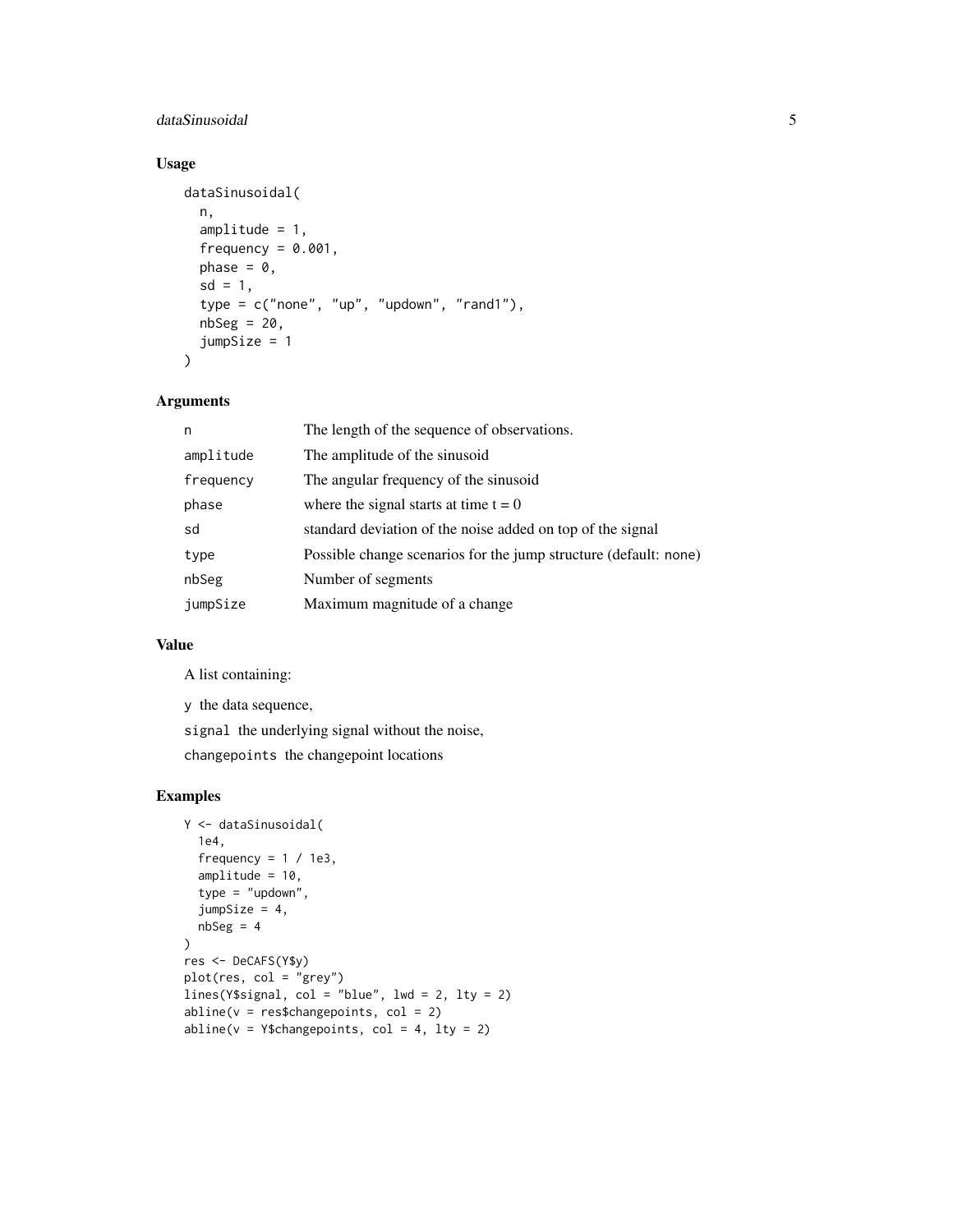## dataSinusoidal 5

## Usage

```
dataSinusoidal(
  n,
  amplitude = 1,
  frequency = 0.001,
  phase = \theta,
  sd = 1,
  type = c("none", "up", "updown", "random", "rand1"),
  nbseg = 20,
  jumpSize = 1
\mathcal{L}
```
## Arguments

| n         | The length of the sequence of observations.                      |
|-----------|------------------------------------------------------------------|
| amplitude | The amplitude of the sinusoid                                    |
| frequency | The angular frequency of the sinusoid                            |
| phase     | where the signal starts at time $t = 0$                          |
| sd        | standard deviation of the noise added on top of the signal       |
| type      | Possible change scenarios for the jump structure (default: none) |
| nbSeg     | Number of segments                                               |
| jumpSize  | Maximum magnitude of a change                                    |

## Value

A list containing:

y the data sequence,

signal the underlying signal without the noise,

changepoints the changepoint locations

## Examples

```
Y <- dataSinusoidal(
  1e4,
  frequency = 1 / 1e3,
  amplitude = 10,
  type = "updown",
  jumpSize = 4,
 nbseg = 4)
res <- DeCAFS(Y$y)
plot(res, col = "grey")
lines(Y$signal, col = "blue", \text{ lwd} = 2, \text{ lty} = 2)abline(v = res$changepoints, col = 2)abline(v = Y$changepoints, col = 4, lty = 2)
```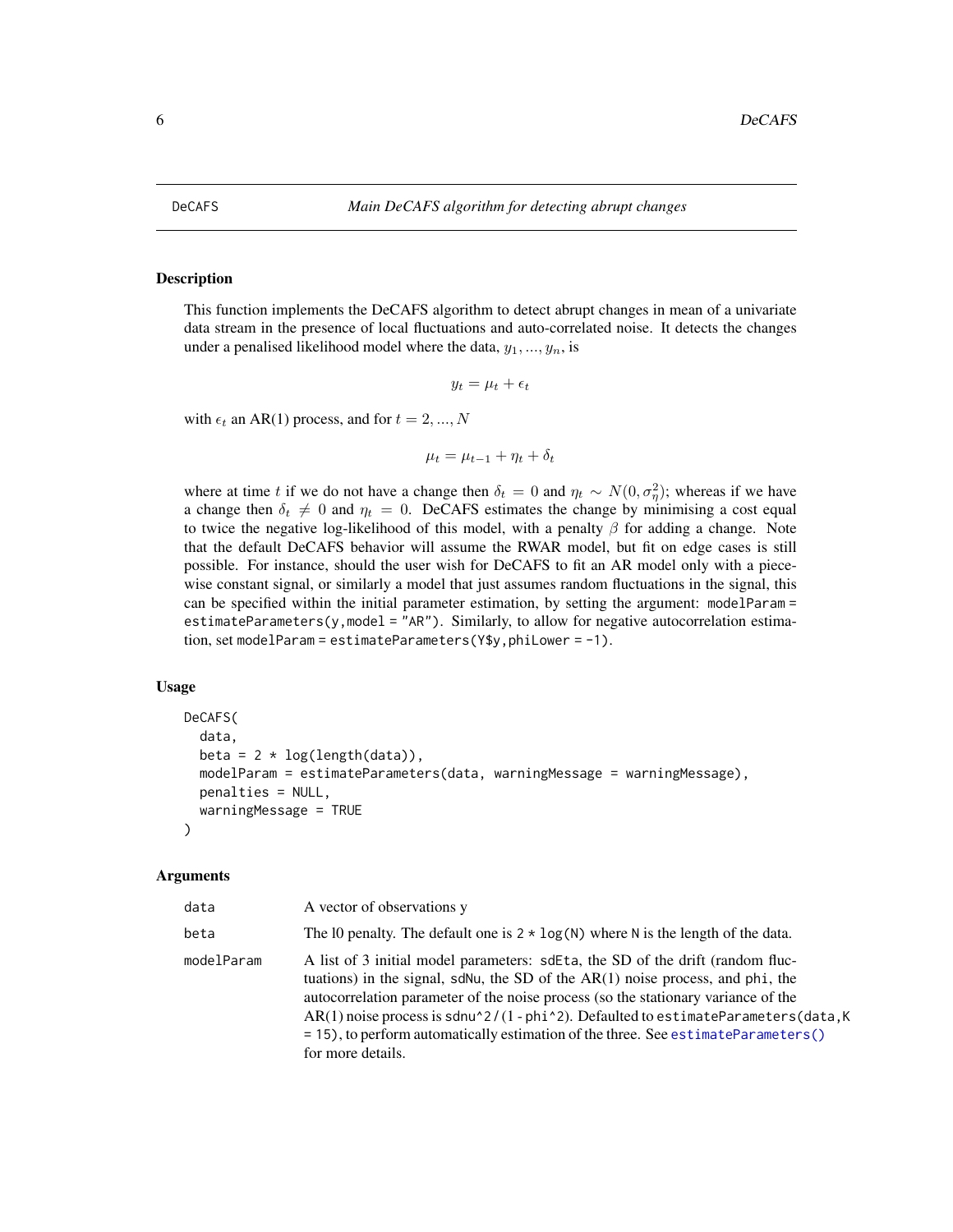<span id="page-5-1"></span><span id="page-5-0"></span>This function implements the DeCAFS algorithm to detect abrupt changes in mean of a univariate data stream in the presence of local fluctuations and auto-correlated noise. It detects the changes under a penalised likelihood model where the data,  $y_1, ..., y_n$ , is

$$
y_t = \mu_t + \epsilon_t
$$

with  $\epsilon_t$  an AR(1) process, and for  $t = 2, ..., N$ 

 $\mu_t = \mu_{t-1} + \eta_t + \delta_t$ 

where at time t if we do not have a change then  $\delta_t = 0$  and  $\eta_t \sim N(0, \sigma_\eta^2)$ ; whereas if we have a change then  $\delta_t \neq 0$  and  $\eta_t = 0$ . DeCAFS estimates the change by minimising a cost equal to twice the negative log-likelihood of this model, with a penalty  $\beta$  for adding a change. Note that the default DeCAFS behavior will assume the RWAR model, but fit on edge cases is still possible. For instance, should the user wish for DeCAFS to fit an AR model only with a piecewise constant signal, or similarly a model that just assumes random fluctuations in the signal, this can be specified within the initial parameter estimation, by setting the argument: modelParam = estimateParameters(y,model = "AR"). Similarly, to allow for negative autocorrelation estimation, set modelParam = estimateParameters(Y\$y,phiLower = -1).

#### Usage

```
DeCAFS(
  data,
  beta = 2 * log(length(data)),
 modelParam = estimateParameters(data, warningMessage = warningMessage),
 penalties = NULL,
  warningMessage = TRUE
)
```
#### Arguments

| data       | A vector of observations y                                                                                                                                                                                                                                                                                                                                                                                                                                |
|------------|-----------------------------------------------------------------------------------------------------------------------------------------------------------------------------------------------------------------------------------------------------------------------------------------------------------------------------------------------------------------------------------------------------------------------------------------------------------|
| beta       | The 10 penalty. The default one is $2 \times \log(N)$ where N is the length of the data.                                                                                                                                                                                                                                                                                                                                                                  |
| modelParam | A list of 3 initial model parameters: sdEta, the SD of the drift (random fluc-<br>tuations) in the signal, sdNu, the SD of the $AR(1)$ noise process, and phi, the<br>autocorrelation parameter of the noise process (so the stationary variance of the<br>$AR(1)$ noise process is sdnu^2/(1 - phi^2). Defaulted to estimateParameters(data, K<br>= 15), to perform automatically estimation of the three. See estimateParameters()<br>for more details. |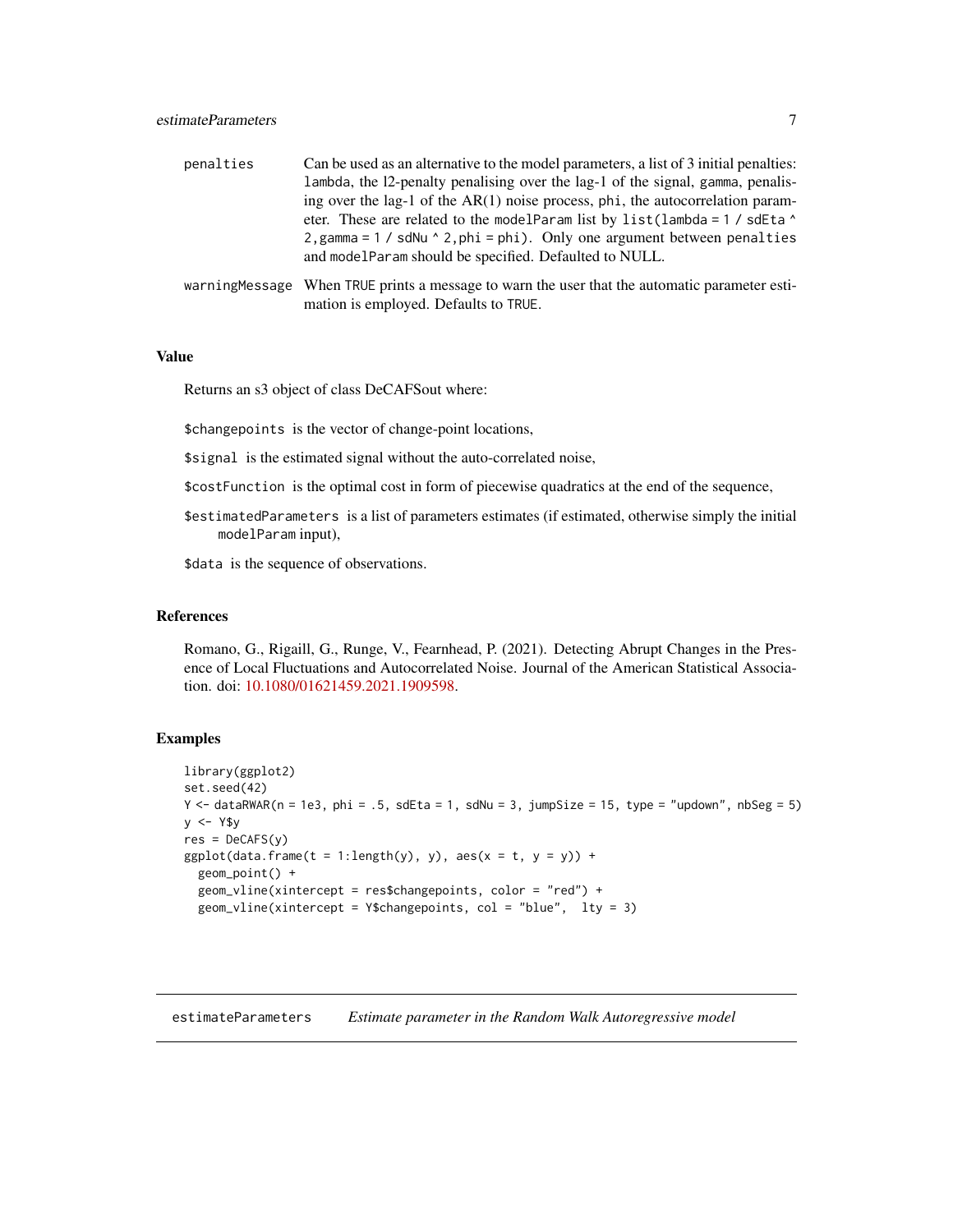## <span id="page-6-0"></span>estimateParameters 7

| penalties | Can be used as an alternative to the model parameters, a list of 3 initial penalties:                |
|-----------|------------------------------------------------------------------------------------------------------|
|           | lambda, the 12-penalty penalising over the lag-1 of the signal, gamma, penalis-                      |
|           | ing over the lag-1 of the AR(1) noise process, phi, the autocorrelation param-                       |
|           | eter. These are related to the modelParam list by list(lambda = 1 / sdEta ^                          |
|           | 2, gamma = $1 / s$ dNu $\land$ 2, phi = phi). Only one argument between penalties                    |
|           | and modelParam should be specified. Defaulted to NULL.                                               |
|           | $\mu$ warning Message When TRUE prints a message to warn the user that the automatic parameter esti- |

warningMessage When TRUE prints a message to warn the user that the automatic parameter estimation is employed. Defaults to TRUE.

#### Value

Returns an s3 object of class DeCAFSout where:

\$changepoints is the vector of change-point locations,

\$signal is the estimated signal without the auto-correlated noise,

\$costFunction is the optimal cost in form of piecewise quadratics at the end of the sequence,

\$estimatedParameters is a list of parameters estimates (if estimated, otherwise simply the initial modelParam input),

\$data is the sequence of observations.

#### References

Romano, G., Rigaill, G., Runge, V., Fearnhead, P. (2021). Detecting Abrupt Changes in the Presence of Local Fluctuations and Autocorrelated Noise. Journal of the American Statistical Association. doi: [10.1080/01621459.2021.1909598.](https://doi.org/10.1080/01621459.2021.1909598)

#### Examples

```
library(ggplot2)
set.seed(42)
Y \leq - dataRWAR(n = 1e3, phi = .5, sdEta = 1, sdNu = 3, jumpSize = 15, type = "updown", nbSeg = 5)
y <- Y$y
res = DecAFS(y)ggplot(data.frame(t = 1:length(y), y), aes(x = t, y = y)) +geom_point() +
 geom_vline(xintercept = res$changepoints, color = "red") +
 geom_vline(xintercept = Y$changepoints, col = "blue", lty = 3)
```
<span id="page-6-1"></span>estimateParameters *Estimate parameter in the Random Walk Autoregressive model*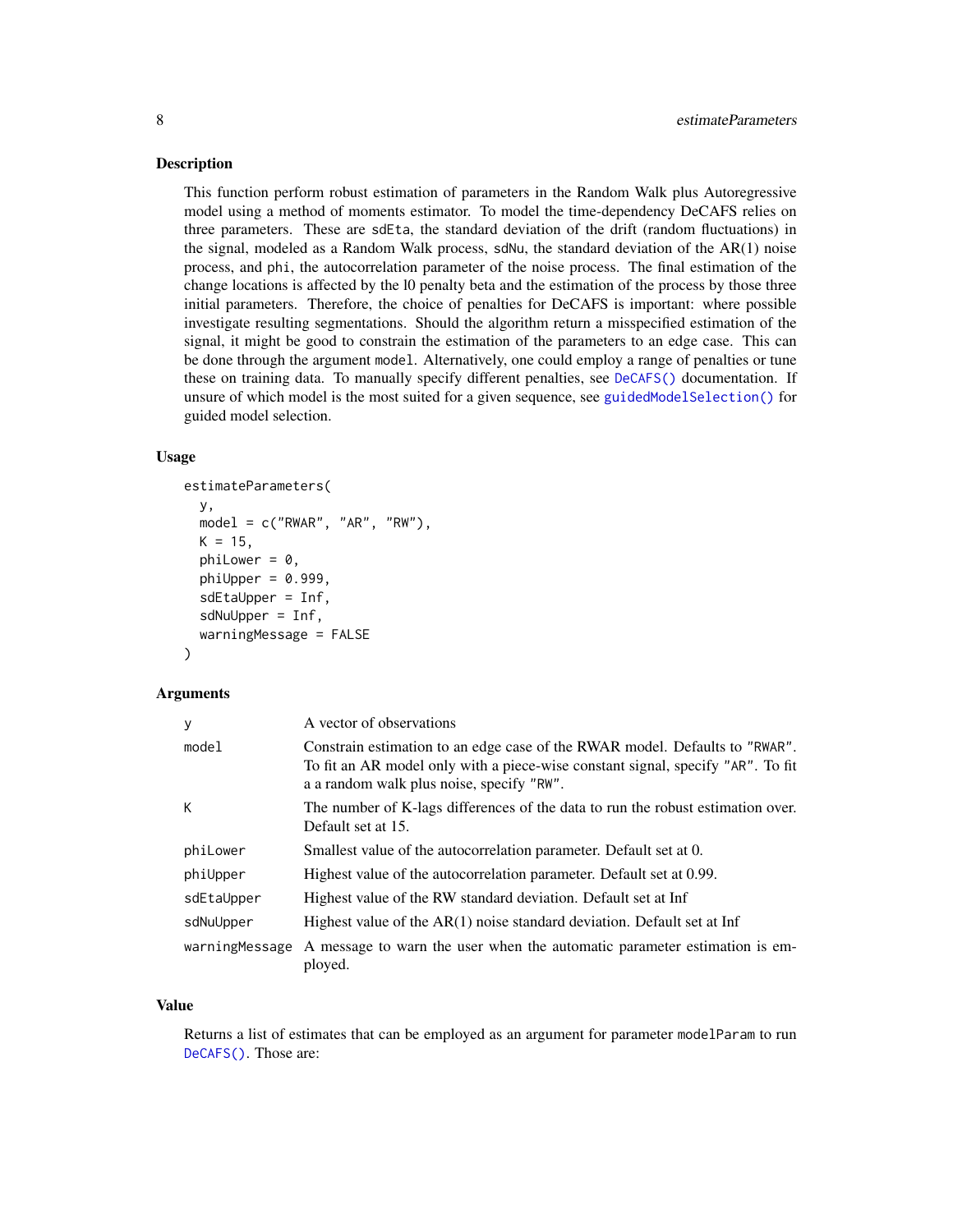<span id="page-7-0"></span>This function perform robust estimation of parameters in the Random Walk plus Autoregressive model using a method of moments estimator. To model the time-dependency DeCAFS relies on three parameters. These are sdEta, the standard deviation of the drift (random fluctuations) in the signal, modeled as a Random Walk process, sdNu, the standard deviation of the AR(1) noise process, and phi, the autocorrelation parameter of the noise process. The final estimation of the change locations is affected by the l0 penalty beta and the estimation of the process by those three initial parameters. Therefore, the choice of penalties for DeCAFS is important: where possible investigate resulting segmentations. Should the algorithm return a misspecified estimation of the signal, it might be good to constrain the estimation of the parameters to an edge case. This can be done through the argument model. Alternatively, one could employ a range of penalties or tune these on training data. To manually specify different penalties, see [DeCAFS\(\)](#page-5-1) documentation. If unsure of which model is the most suited for a given sequence, see [guidedModelSelection\(\)](#page-9-1) for guided model selection.

#### Usage

```
estimateParameters(
 y,
 model = c("RWAR", "AR", "RW"),
 K = 15,
 phiLower = 0,
  philUpper = 0.999,
  sdEtaUpper = Inf,
  sdNuUpper = Inf,
  warningMessage = FALSE
\lambda
```
#### Arguments

| y              | A vector of observations                                                                                                                                                                                    |
|----------------|-------------------------------------------------------------------------------------------------------------------------------------------------------------------------------------------------------------|
| model          | Constrain estimation to an edge case of the RWAR model. Defaults to "RWAR".<br>To fit an AR model only with a piece-wise constant signal, specify "AR". To fit<br>a a random walk plus noise, specify "RW". |
| К              | The number of K-lags differences of the data to run the robust estimation over.<br>Default set at 15.                                                                                                       |
| phiLower       | Smallest value of the autocorrelation parameter. Default set at 0.                                                                                                                                          |
| phiUpper       | Highest value of the autocorrelation parameter. Default set at 0.99.                                                                                                                                        |
| sdEtaUpper     | Highest value of the RW standard deviation. Default set at Inf                                                                                                                                              |
| sdNuUpper      | Highest value of the $AR(1)$ noise standard deviation. Default set at Inf                                                                                                                                   |
| warningMessage | A message to warn the user when the automatic parameter estimation is em-<br>ployed.                                                                                                                        |

#### Value

Returns a list of estimates that can be employed as an argument for parameter modelParam to run [DeCAFS\(\)](#page-5-1). Those are: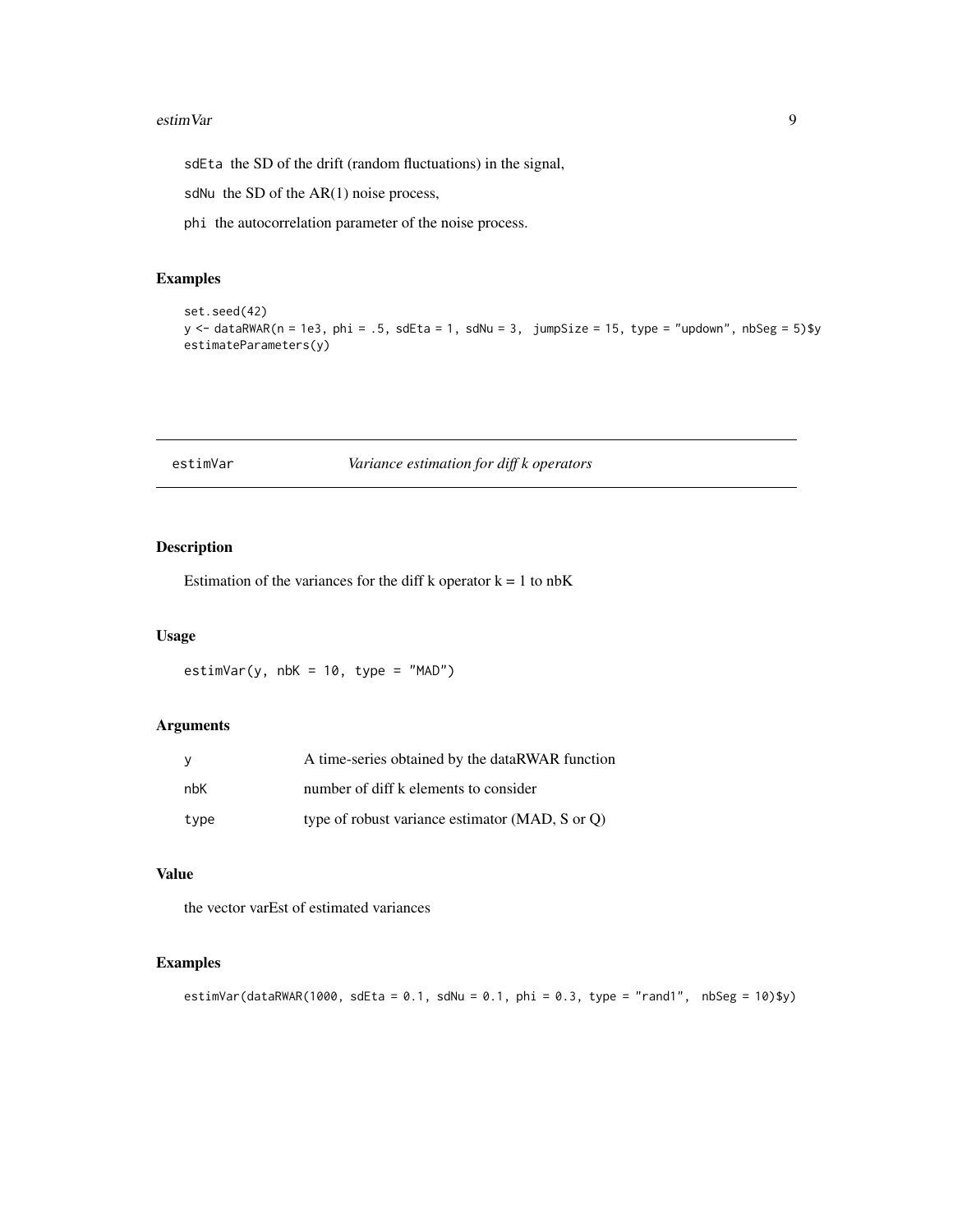#### <span id="page-8-0"></span>estimVar 9

sdEta the SD of the drift (random fluctuations) in the signal,

sdNu the SD of the AR(1) noise process,

phi the autocorrelation parameter of the noise process.

## Examples

```
set.seed(42)
y <- dataRWAR(n = 1e3, phi = .5, sdEta = 1, sdNu = 3, jumpSize = 15, type = "updown", nbSeg = 5)$y
estimateParameters(y)
```

| estimVar |  |  |
|----------|--|--|
|          |  |  |
|          |  |  |
|          |  |  |
|          |  |  |

## r *Variance estimation for diff k operators*

## Description

Estimation of the variances for the diff k operator  $k = 1$  to nbK

## Usage

 $estimVar(y, nbK = 10, type = "MAD")$ 

## Arguments

| - V  | A time-series obtained by the dataRWAR function |
|------|-------------------------------------------------|
| nbK  | number of diff k elements to consider           |
| type | type of robust variance estimator (MAD, S or O) |

## Value

the vector varEst of estimated variances

## Examples

estimVar(dataRWAR(1000, sdEta = 0.1, sdNu = 0.1, phi = 0.3, type = "rand1", nbSeg = 10)\$y)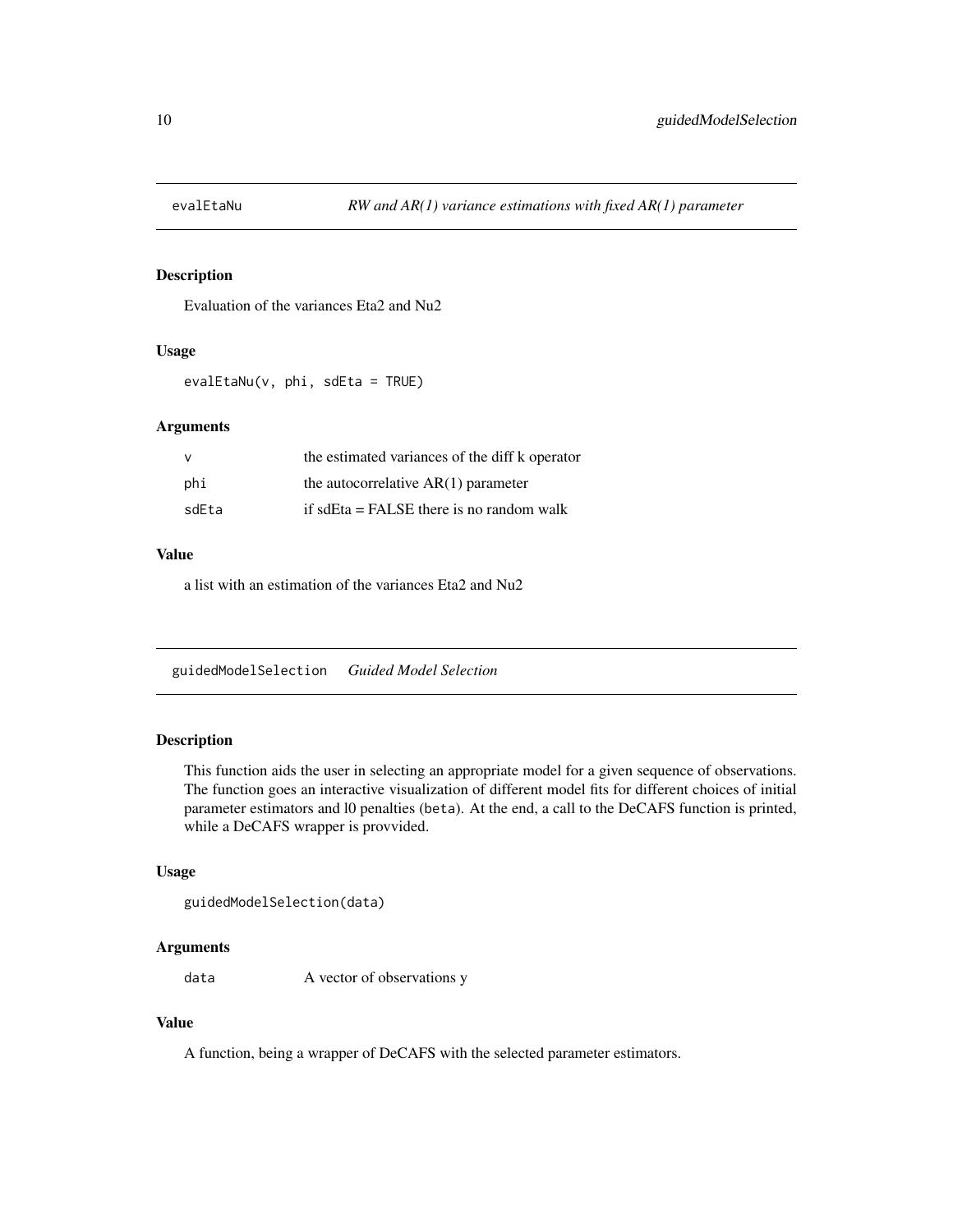<span id="page-9-0"></span>

Evaluation of the variances Eta2 and Nu2

## Usage

evalEtaNu(v, phi, sdEta = TRUE)

## Arguments

| v     | the estimated variances of the diff k operator |
|-------|------------------------------------------------|
| phi   | the autocorrelative $AR(1)$ parameter          |
| sdEta | if sdEta $=$ FALSE there is no random walk     |

#### Value

a list with an estimation of the variances Eta2 and Nu2

<span id="page-9-1"></span>guidedModelSelection *Guided Model Selection*

## Description

This function aids the user in selecting an appropriate model for a given sequence of observations. The function goes an interactive visualization of different model fits for different choices of initial parameter estimators and l0 penalties (beta). At the end, a call to the DeCAFS function is printed, while a DeCAFS wrapper is provvided.

## Usage

```
guidedModelSelection(data)
```
#### Arguments

data A vector of observations y

## Value

A function, being a wrapper of DeCAFS with the selected parameter estimators.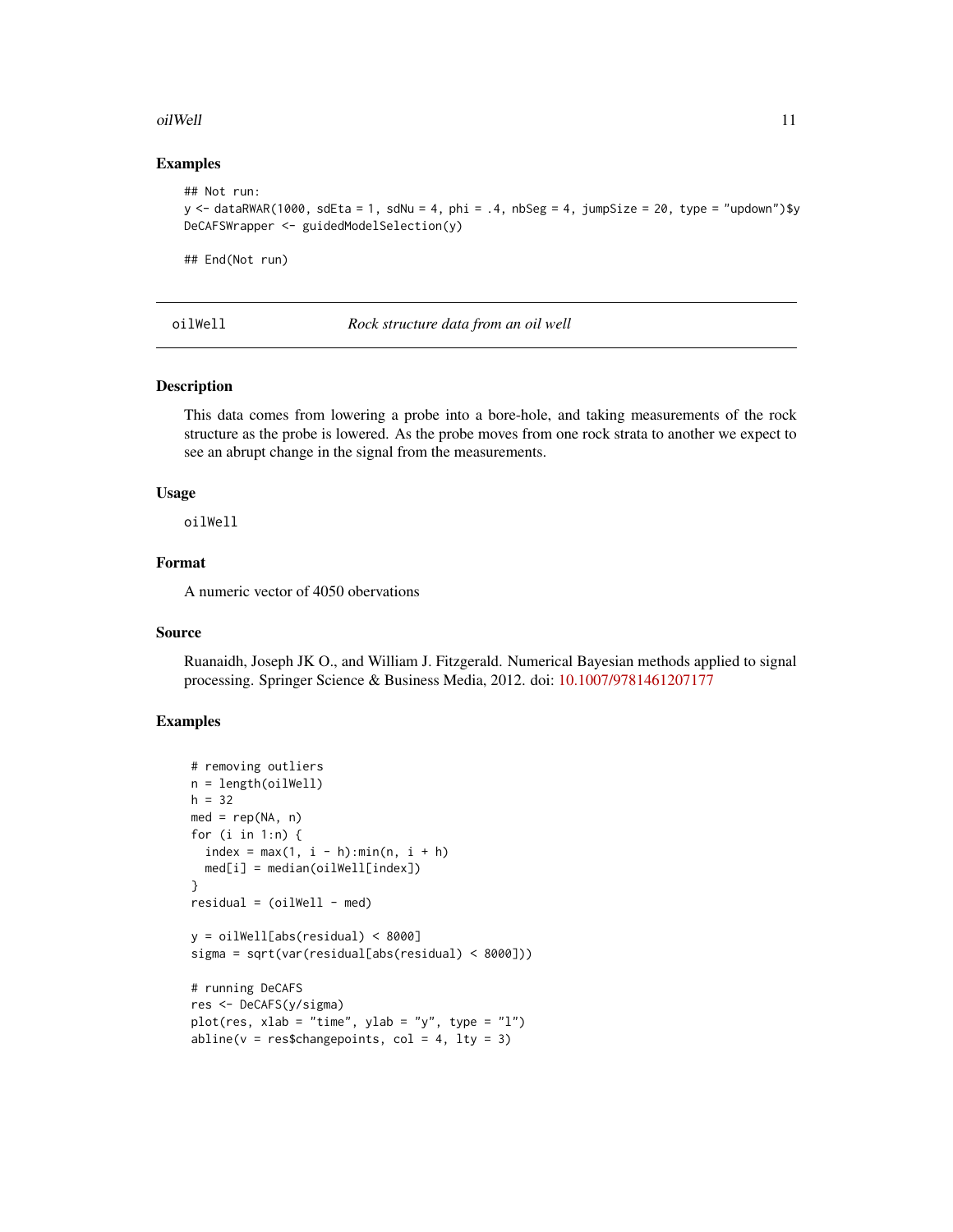#### <span id="page-10-0"></span>oilWell 2012 2013 2014 2022 2022 2023 2024 2022 2022 2023 2024 2022 2023 2024 2022 2023 2024 2022 2023 2024 20

#### Examples

```
## Not run:
y \le dataRWAR(1000, sdEta = 1, sdNu = 4, phi = .4, nbSeg = 4, jumpSize = 20, type = "updown")$y
DeCAFSWrapper <- guidedModelSelection(y)
## End(Not run)
```
oilWell *Rock structure data from an oil well*

#### Description

This data comes from lowering a probe into a bore-hole, and taking measurements of the rock structure as the probe is lowered. As the probe moves from one rock strata to another we expect to see an abrupt change in the signal from the measurements.

#### Usage

oilWell

## Format

A numeric vector of 4050 obervations

## Source

Ruanaidh, Joseph JK O., and William J. Fitzgerald. Numerical Bayesian methods applied to signal processing. Springer Science & Business Media, 2012. doi: [10.1007/9781461207177](https://doi.org/10.1007/978-1-4612-0717-7)

## Examples

```
# removing outliers
n = length(oilWell)
h = 32med = rep(NA, n)for (i in 1:n) {
 index = max(1, i - h):min(n, i + h)med[i] = median(oilWell[index])
}
residual = (oilWell - med)y = oilWell[abs(residual) < 8000]
sigma = sqrt(var(residual[abs(residual) < 8000]))
# running DeCAFS
res <- DeCAFS(y/sigma)
plot(res, xlab = "time", ylab = "y", type = "l")
abline(v = res$changepoints, col = 4, lty = 3)
```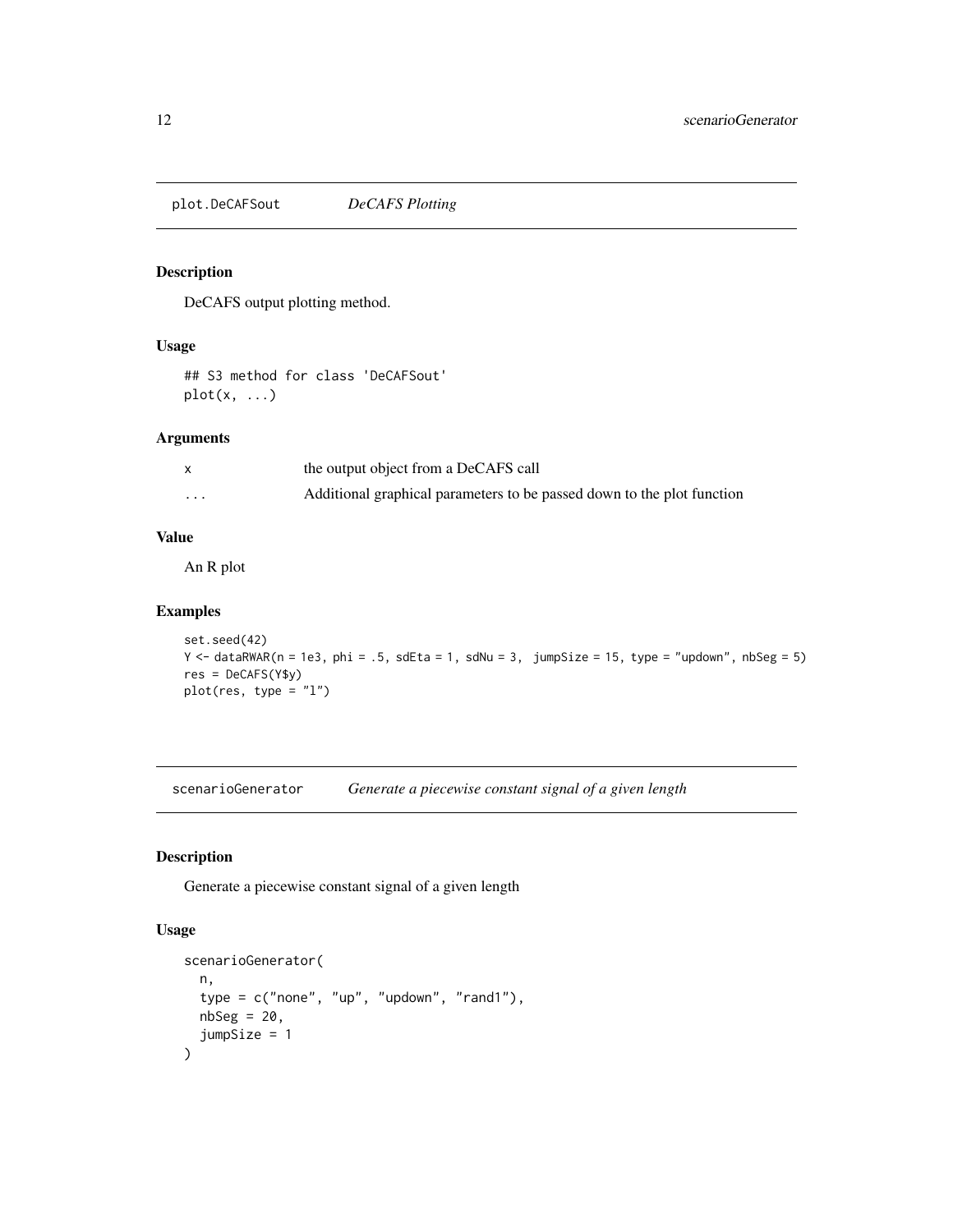<span id="page-11-0"></span>plot.DeCAFSout *DeCAFS Plotting*

## Description

DeCAFS output plotting method.

## Usage

## S3 method for class 'DeCAFSout'  $plot(x, \ldots)$ 

## Arguments

|                         | the output object from a DeCAFS call                                   |
|-------------------------|------------------------------------------------------------------------|
| $\cdot$ $\cdot$ $\cdot$ | Additional graphical parameters to be passed down to the plot function |

#### Value

An R plot

#### Examples

```
set.seed(42)
Y <- dataRWAR(n = 1e3, phi = .5, sdEta = 1, sdNu = 3, jumpSize = 15, type = "updown", nbSeg = 5)
res = DeCAFS(Y$y)
plot(res, type = "l")
```
scenarioGenerator *Generate a piecewise constant signal of a given length*

## Description

Generate a piecewise constant signal of a given length

## Usage

```
scenarioGenerator(
  n,
  type = c("none", "up", "updown", "random", "rand1"),
  nbseg = 20,
  jumpSize = 1
\mathcal{L}
```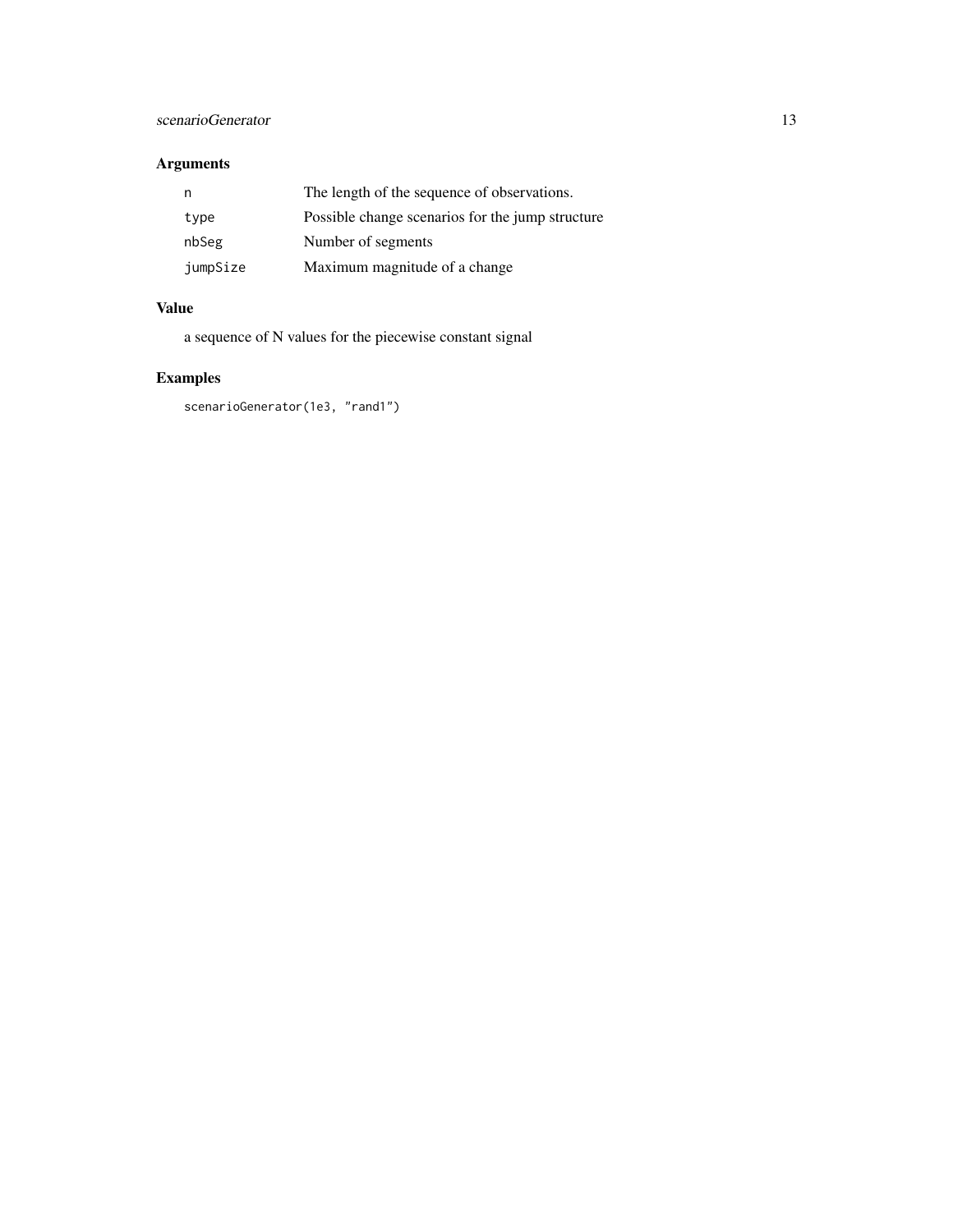## scenarioGenerator 13

## Arguments

| n        | The length of the sequence of observations.      |
|----------|--------------------------------------------------|
| type     | Possible change scenarios for the jump structure |
| nbSeg    | Number of segments                               |
| jumpSize | Maximum magnitude of a change                    |

## Value

a sequence of N values for the piecewise constant signal

## Examples

scenarioGenerator(1e3, "rand1")